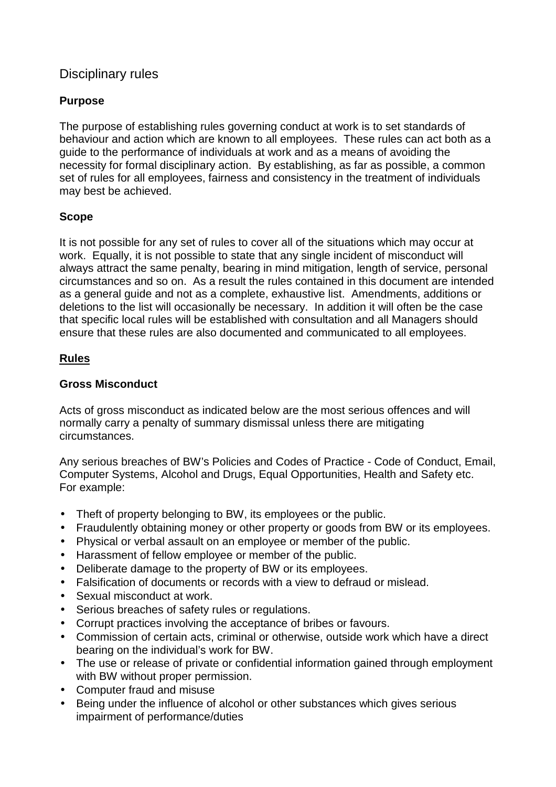# Disciplinary rules

## **Purpose**

The purpose of establishing rules governing conduct at work is to set standards of behaviour and action which are known to all employees. These rules can act both as a guide to the performance of individuals at work and as a means of avoiding the necessity for formal disciplinary action. By establishing, as far as possible, a common set of rules for all employees, fairness and consistency in the treatment of individuals may best be achieved.

### **Scope**

It is not possible for any set of rules to cover all of the situations which may occur at work. Equally, it is not possible to state that any single incident of misconduct will always attract the same penalty, bearing in mind mitigation, length of service, personal circumstances and so on. As a result the rules contained in this document are intended as a general guide and not as a complete, exhaustive list. Amendments, additions or deletions to the list will occasionally be necessary. In addition it will often be the case that specific local rules will be established with consultation and all Managers should ensure that these rules are also documented and communicated to all employees.

### **Rules**

### **Gross Misconduct**

Acts of gross misconduct as indicated below are the most serious offences and will normally carry a penalty of summary dismissal unless there are mitigating circumstances.

Any serious breaches of BW's Policies and Codes of Practice - Code of Conduct, Email, Computer Systems, Alcohol and Drugs, Equal Opportunities, Health and Safety etc. For example:

- Theft of property belonging to BW, its employees or the public.
- Fraudulently obtaining money or other property or goods from BW or its employees.
- Physical or verbal assault on an employee or member of the public.
- Harassment of fellow employee or member of the public.
- Deliberate damage to the property of BW or its employees.
- Falsification of documents or records with a view to defraud or mislead.
- Sexual misconduct at work.
- Serious breaches of safety rules or regulations.
- Corrupt practices involving the acceptance of bribes or favours.
- Commission of certain acts, criminal or otherwise, outside work which have a direct bearing on the individual's work for BW.
- The use or release of private or confidential information gained through employment with BW without proper permission.
- Computer fraud and misuse
- Being under the influence of alcohol or other substances which gives serious impairment of performance/duties